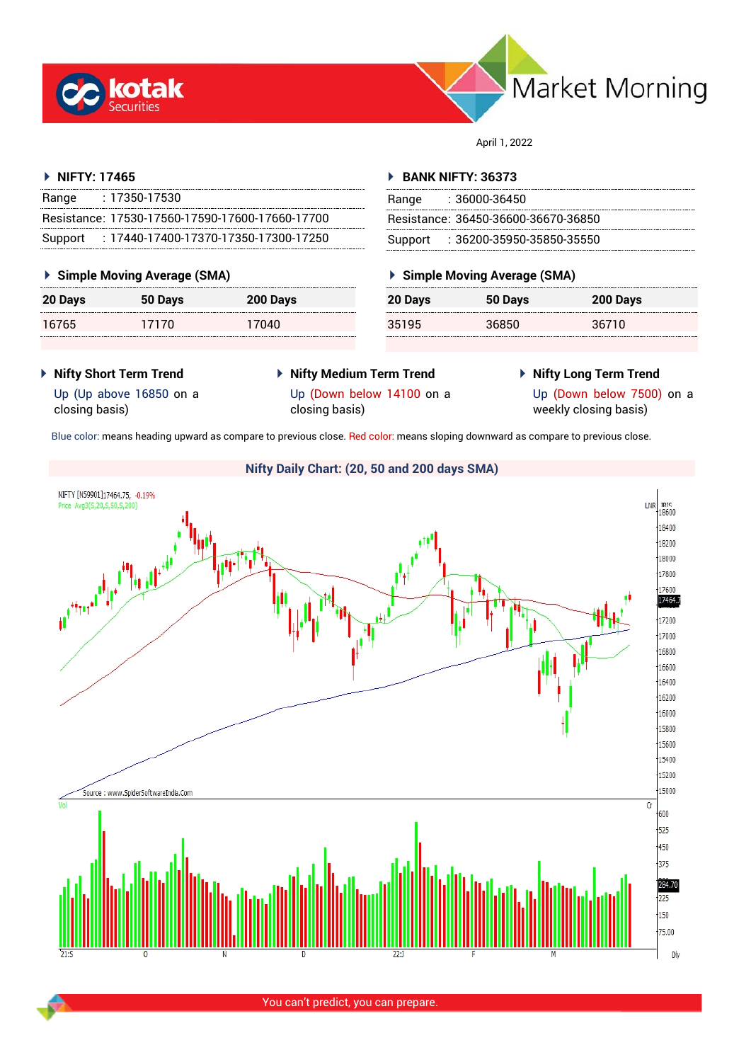



April 1, 2022

## **NIFTY: 17465**

| Range | : 17350-17530                                   |
|-------|-------------------------------------------------|
|       | Resistance: 17530-17560-17590-17600-17660-17700 |
|       | Support: 17440-17400-17370-17350-17300-17250    |

## **Simple Moving Average (SMA)**

| 20 Days | 50 Days | 200 Days |
|---------|---------|----------|
| 16765   | 17170   | 17040    |

## **BANK NIFTY: 36373**

| Range | - 36000-36450                       |
|-------|-------------------------------------|
|       | Resistance: 36450-36600-36670-36850 |
|       | Support : 36200-35950-35850-35550   |

## **Simple Moving Average (SMA)**

| 20 Days | 50 Days | 200 Days |
|---------|---------|----------|
| 35195   | 36850   | 36710    |

- **Nifty Short Term Trend**
- **Nifty Medium Term Trend**
- **Nifty Long Term Trend**

Up (Up above 16850 on a closing basis)

Up (Down below 14100 on a closing basis)

Up (Down below 7500) on a weekly closing basis)

Blue color: means heading upward as compare to previous close. Red color: means sloping downward as compare to previous close.



You can't predict, you can prepare.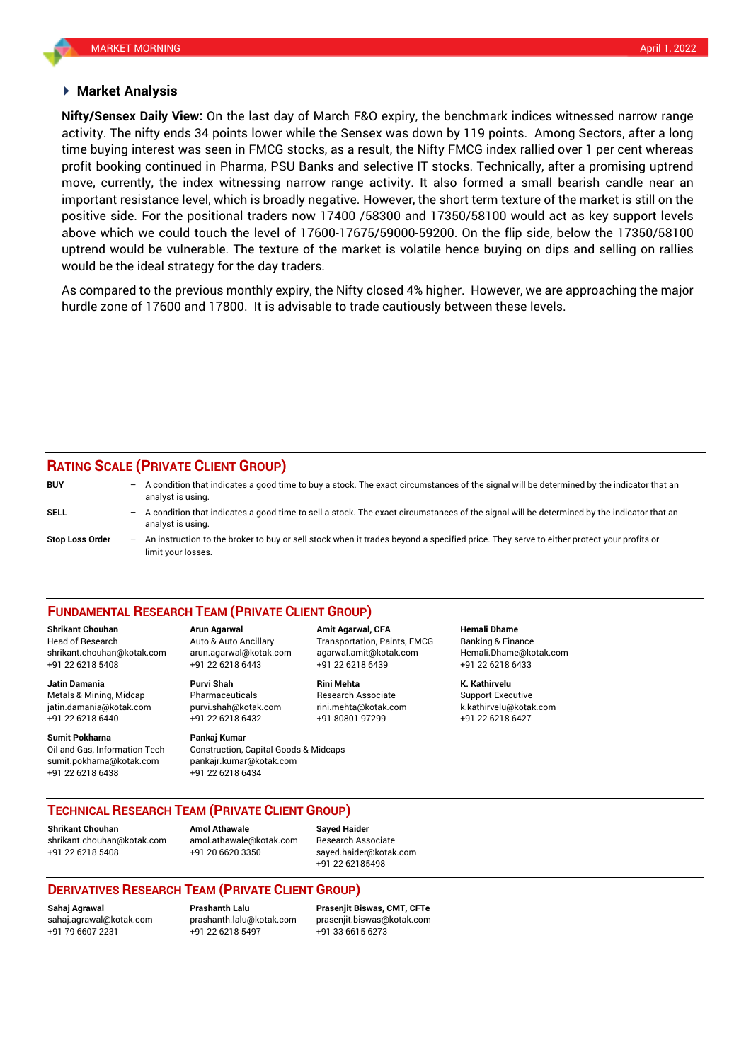## **Market Analysis**

activity. The nifty ends 34 points lower while the Sensex was down by 119 points. Among Sectors, after a long **Nifty/Sensex Daily View:** On the last day of March F&O expiry, the benchmark indices witnessed narrow range time buying interest was seen in FMCG stocks, as a result, the Nifty FMCG index rallied over 1 per cent whereas profit booking continued in Pharma, PSU Banks and selective IT stocks. Technically, after a promising uptrend move, currently, the index witnessing narrow range activity. It also formed a small bearish candle near an important resistance level, which is broadly negative. However, the short term texture of the market is still on the positive side. For the positional traders now 17400 /58300 and 17350/58100 would act as key support levels above which we could touch the level of 17600-17675/59000-59200. On the flip side, below the 17350/58100 uptrend would be vulnerable. The texture of the market is volatile hence buying on dips and selling on rallies would be the ideal strategy for the day traders.

As compared to the previous monthly expiry, the Nifty closed 4% higher. However, we are approaching the major hurdle zone of 17600 and 17800. It is advisable to trade cautiously between these levels.

# **RATING SCALE (PRIVATE CLIENT GROUP)**

| <b>BUY</b>             | $-$ A condition that indicates a good time to buy a stock. The exact circumstances of the signal will be determined by the indicator that an<br>analyst is using. |
|------------------------|-------------------------------------------------------------------------------------------------------------------------------------------------------------------|
| SELL                   | A condition that indicates a good time to sell a stock. The exact circumstances of the signal will be determined by the indicator that an<br>analyst is using.    |
| <b>Stop Loss Order</b> | An instruction to the broker to buy or sell stock when it trades beyond a specified price. They serve to either protect your profits or<br>limit your losses.     |

### **FUNDAMENTAL RESEARCH TEAM (PRIVATE CLIENT GROUP)**

Head of Research Auto & Auto Ancillary Transportation, Paints, FMCG Banking & Finance [shrikant.chouhan@kotak.com](mailto:shrikant.chouhan@kotak.com) arun.agarwal@kotak.com agarwal.amit@kotak.com Hemali.Dhame@kotak.com

Metals & Mining, Midcap Pharmaceuticals Research Associate Support Executive jatin.damania@kotak.com [purvi.shah@kotak.com](mailto:purvi.shah@kotak.com) rini.mehta@kotak.com [k.kathirvelu@kotak.com](mailto:k.kathirvelu@kotak.com) +91 22 6218 6440 +91 22 6218 6432 +91 80801 97299 +91 22 6218 6427

**Sumit Pokharna** Pankaj Kumar Oil and Gas, Information Tech Construction, Capital Goods & Midcaps sumit.pokharna@kotak.com pankajr.kumar@kotak.com

+91 22 6218 5408 +91 22 6218 6443 +91 22 6218 6439 +91 22 6218 6433

+91 22 6218 6438 +91 22 6218 6434

**Shrikant Chouhan Arun Agarwal Amit Agarwal, CFA Hemali Dhame**

**Jatin Damania Purvi Shah Rini Mehta K. Kathirvelu**

**TECHNICAL RESEARCH TEAM (PRIVATE CLIENT GROUP)**

**Shrikant Chouhan Amol Athawale Sayed Haider**

[shrikant.chouhan@kotak.com](mailto:shrikant.chouhan@kotak.com) [amol.athawale@kotak.com](mailto:amol.athawale@kotak.com) Research Associate +91 22 6218 5408 +91 20 6620 3350 [sayed.haider@kotak.com](mailto:sayed.haider@kotak.com)

+91 22 62185498

## **DERIVATIVES RESEARCH TEAM (PRIVATE CLIENT GROUP)**

+91 22 6218 5497 +91 33 6615 6273

**Sahaj Agrawal Prashanth Lalu Prasenjit Biswas, CMT, CFTe** [sahaj.agrawal@kotak.com](mailto:sahaj.agrawal@kotak.com) [prashanth.lalu@kotak.com](mailto:prashanth.lalu@kotak.com) [prasenjit.biswas@kotak.com](mailto:prasenjit.biswas@kotak.com)